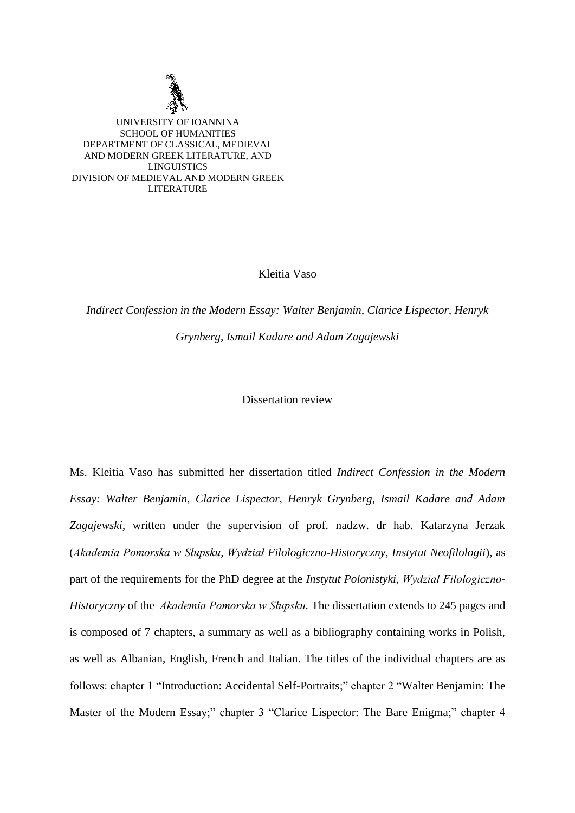

Kleitia Vaso

*Indirect Confession in the Modern Essay: Walter Benjamin, Clarice Lispector, Henryk Grynberg, Ismail Kadare and Adam Zagajewski*

Dissertation review

Ms. Kleitia Vaso has submitted her dissertation titled *Indirect Confession in the Modern Essay: Walter Benjamin, Clarice Lispector, Henryk Grynberg, Ismail Kadare and Adam Zagajewski,* written under the supervision of prof. nadzw. dr hab. Katarzyna Jerzak (*Akademia Pomorska w Słupsku, Wydział Filologiczno-Historyczny, Instytut Neofilologii*), as part of the requirements for the PhD degree at the *Instytut Polonistyki, Wydział Filologiczno-Historyczny* of the *Akademia Pomorska w Słupsku*. The dissertation extends to 245 pages and is composed of 7 chapters, a summary as well as a bibliography containing works in Polish, as well as Albanian, English, French and Italian. The titles of the individual chapters are as follows: chapter 1 "Introduction: Accidental Self-Portraits;" chapter 2 "Walter Benjamin: The Master of the Modern Essay;" chapter 3 "Clarice Lispector: The Bare Enigma;" chapter 4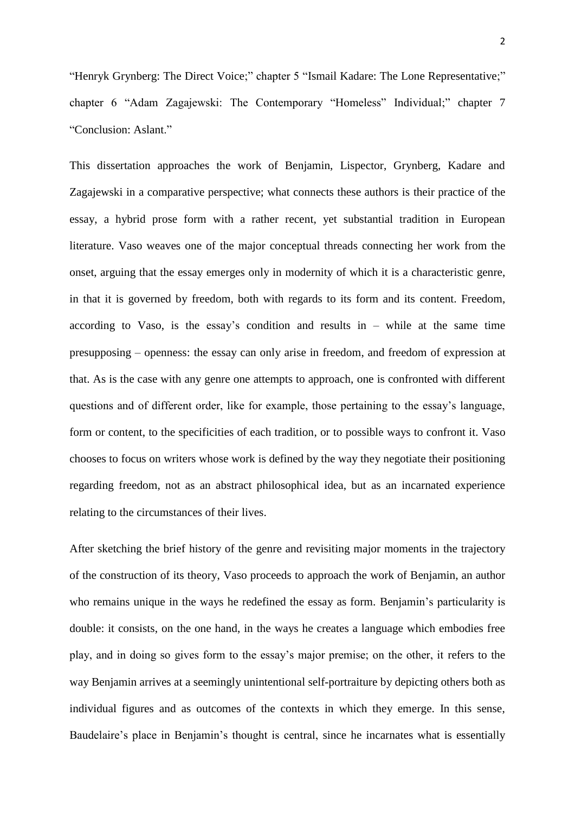"Henryk Grynberg: The Direct Voice;" chapter 5 "Ismail Kadare: The Lone Representative;" chapter 6 "Adam Zagajewski: The Contemporary "Homeless" Individual;" chapter 7 "Conclusion: Aslant."

This dissertation approaches the work of Benjamin, Lispector, Grynberg, Kadare and Zagajewski in a comparative perspective; what connects these authors is their practice of the essay, a hybrid prose form with a rather recent, yet substantial tradition in European literature. Vaso weaves one of the major conceptual threads connecting her work from the onset, arguing that the essay emerges only in modernity of which it is a characteristic genre, in that it is governed by freedom, both with regards to its form and its content. Freedom, according to Vaso, is the essay's condition and results in – while at the same time presupposing – openness: the essay can only arise in freedom, and freedom of expression at that. As is the case with any genre one attempts to approach, one is confronted with different questions and of different order, like for example, those pertaining to the essay's language, form or content, to the specificities of each tradition, or to possible ways to confront it. Vaso chooses to focus on writers whose work is defined by the way they negotiate their positioning regarding freedom, not as an abstract philosophical idea, but as an incarnated experience relating to the circumstances of their lives.

After sketching the brief history of the genre and revisiting major moments in the trajectory of the construction of its theory, Vaso proceeds to approach the work of Benjamin, an author who remains unique in the ways he redefined the essay as form. Benjamin's particularity is double: it consists, on the one hand, in the ways he creates a language which embodies free play, and in doing so gives form to the essay's major premise; on the other, it refers to the way Benjamin arrives at a seemingly unintentional self-portraiture by depicting others both as individual figures and as outcomes of the contexts in which they emerge. In this sense, Baudelaire's place in Benjamin's thought is central, since he incarnates what is essentially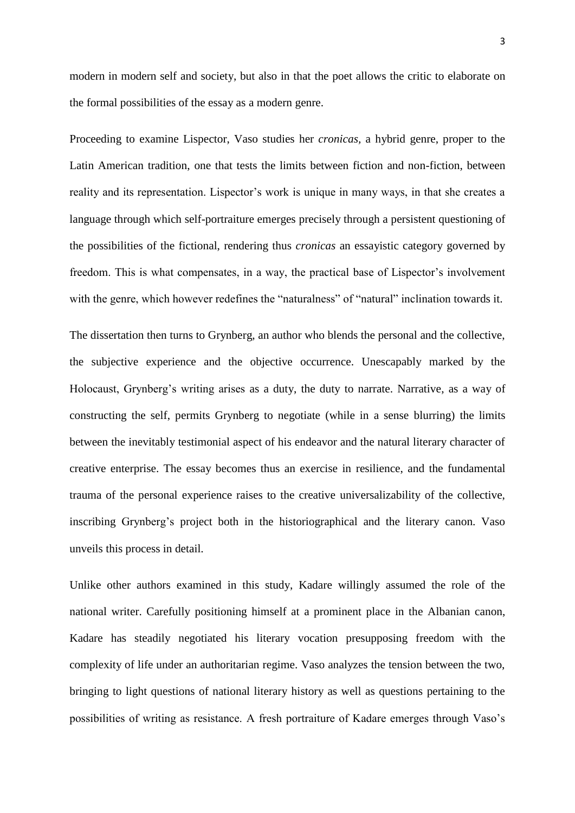modern in modern self and society, but also in that the poet allows the critic to elaborate on the formal possibilities of the essay as a modern genre.

Proceeding to examine Lispector, Vaso studies her *cronicas,* a hybrid genre, proper to the Latin American tradition, one that tests the limits between fiction and non-fiction, between reality and its representation. Lispector's work is unique in many ways, in that she creates a language through which self-portraiture emerges precisely through a persistent questioning of the possibilities of the fictional, rendering thus *cronicas* an essayistic category governed by freedom. This is what compensates, in a way, the practical base of Lispector's involvement with the genre, which however redefines the "naturalness" of "natural" inclination towards it.

The dissertation then turns to Grynberg, an author who blends the personal and the collective, the subjective experience and the objective occurrence. Unescapably marked by the Holocaust, Grynberg's writing arises as a duty, the duty to narrate. Narrative, as a way of constructing the self, permits Grynberg to negotiate (while in a sense blurring) the limits between the inevitably testimonial aspect of his endeavor and the natural literary character of creative enterprise. The essay becomes thus an exercise in resilience, and the fundamental trauma of the personal experience raises to the creative universalizability of the collective, inscribing Grynberg's project both in the historiographical and the literary canon. Vaso unveils this process in detail.

Unlike other authors examined in this study, Kadare willingly assumed the role of the national writer. Carefully positioning himself at a prominent place in the Albanian canon, Kadare has steadily negotiated his literary vocation presupposing freedom with the complexity of life under an authoritarian regime. Vaso analyzes the tension between the two, bringing to light questions of national literary history as well as questions pertaining to the possibilities of writing as resistance. A fresh portraiture of Kadare emerges through Vaso's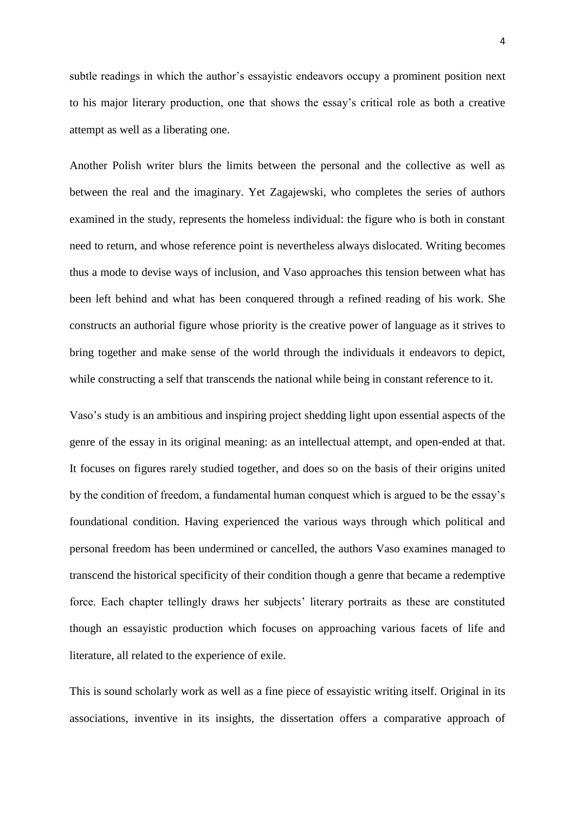subtle readings in which the author's essayistic endeavors occupy a prominent position next to his major literary production, one that shows the essay's critical role as both a creative attempt as well as a liberating one.

Another Polish writer blurs the limits between the personal and the collective as well as between the real and the imaginary. Yet Zagajewski, who completes the series of authors examined in the study, represents the homeless individual: the figure who is both in constant need to return, and whose reference point is nevertheless always dislocated. Writing becomes thus a mode to devise ways of inclusion, and Vaso approaches this tension between what has been left behind and what has been conquered through a refined reading of his work. She constructs an authorial figure whose priority is the creative power of language as it strives to bring together and make sense of the world through the individuals it endeavors to depict, while constructing a self that transcends the national while being in constant reference to it.

Vaso's study is an ambitious and inspiring project shedding light upon essential aspects of the genre of the essay in its original meaning: as an intellectual attempt, and open-ended at that. It focuses on figures rarely studied together, and does so on the basis of their origins united by the condition of freedom, a fundamental human conquest which is argued to be the essay's foundational condition. Having experienced the various ways through which political and personal freedom has been undermined or cancelled, the authors Vaso examines managed to transcend the historical specificity of their condition though a genre that became a redemptive force. Each chapter tellingly draws her subjects' literary portraits as these are constituted though an essayistic production which focuses on approaching various facets of life and literature, all related to the experience of exile.

This is sound scholarly work as well as a fine piece of essayistic writing itself. Original in its associations, inventive in its insights, the dissertation offers a comparative approach of